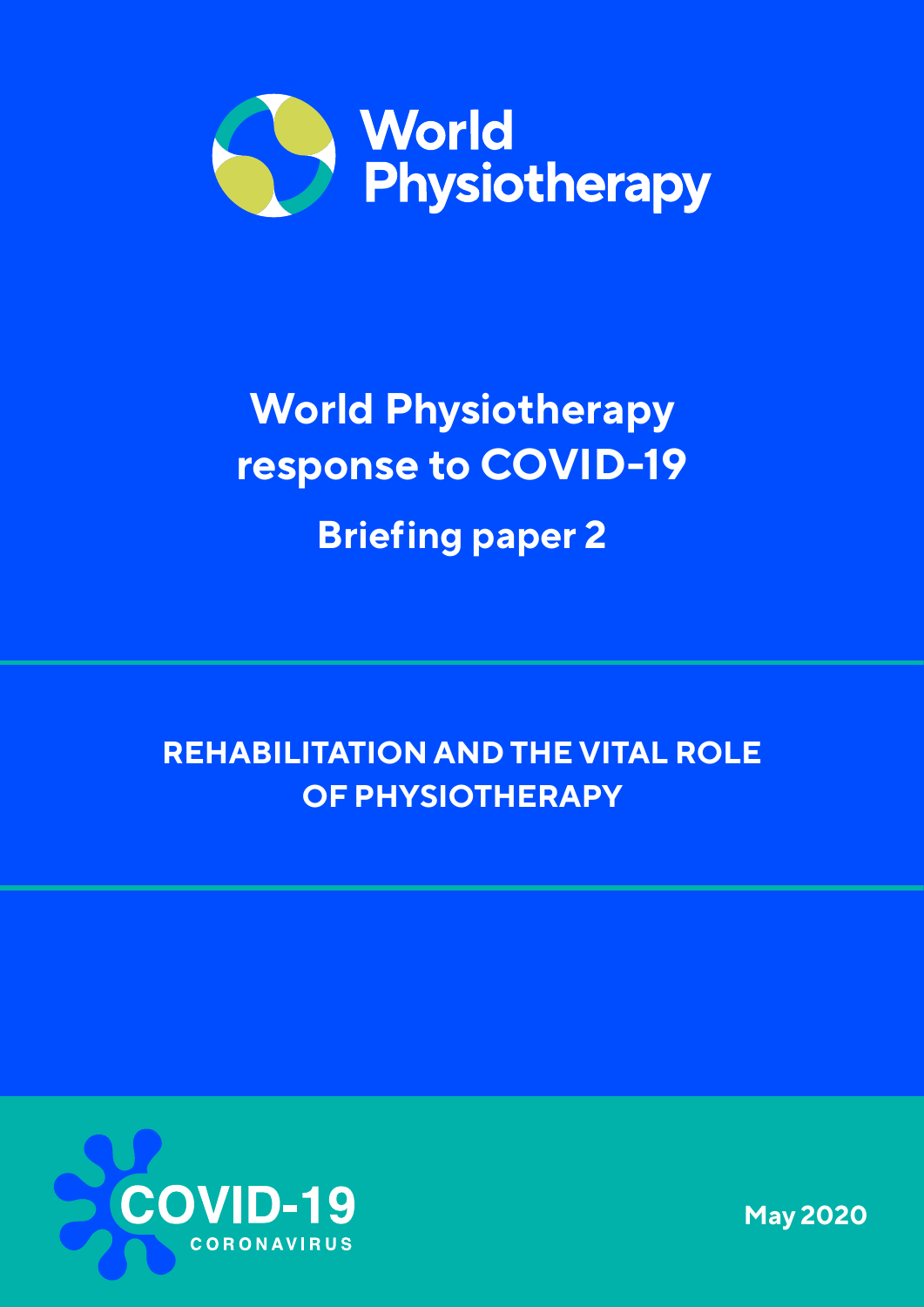

# **World Physiotherapy response to COVID-19 Briefing paper 2**

# **REHABILITATION AND THE VITAL ROLE OF PHYSIOTHERAPY**



**May 2020**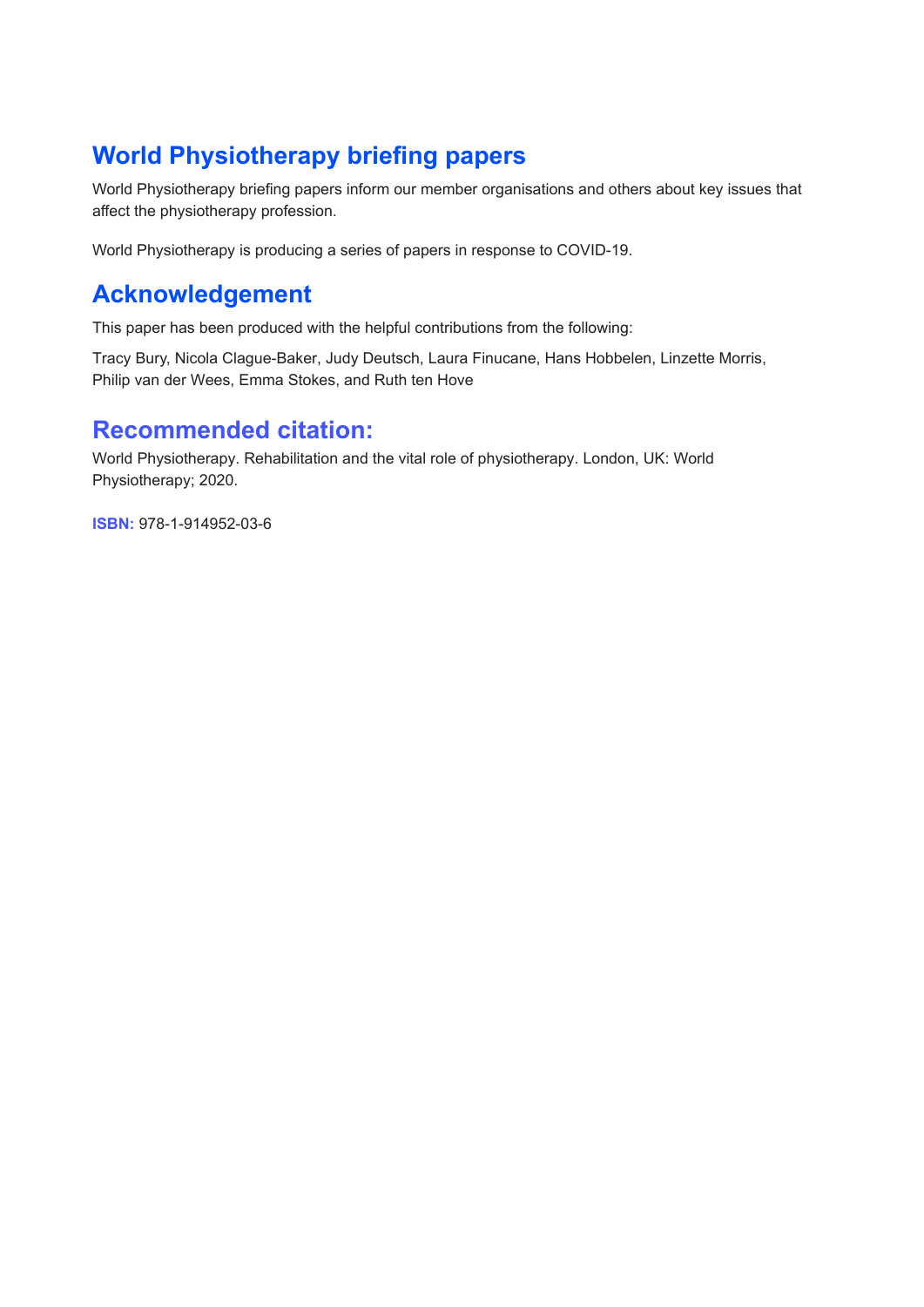## **World Physiotherapy briefing papers**

World Physiotherapy briefing papers inform our member organisations and others about key issues that affect the physiotherapy profession.

World Physiotherapy is producing a series of papers in response to COVID-19.

#### **Acknowledgement**

This paper has been produced with the helpful contributions from the following:

Tracy Bury, Nicola Clague-Baker, Judy Deutsch, Laura Finucane, Hans Hobbelen, Linzette Morris, Philip van der Wees, Emma Stokes, and Ruth ten Hove

#### **Recommended citation:**

World Physiotherapy. Rehabilitation and the vital role of physiotherapy. London, UK: World Physiotherapy; 2020.

**ISBN:** 978-1-914952-03-6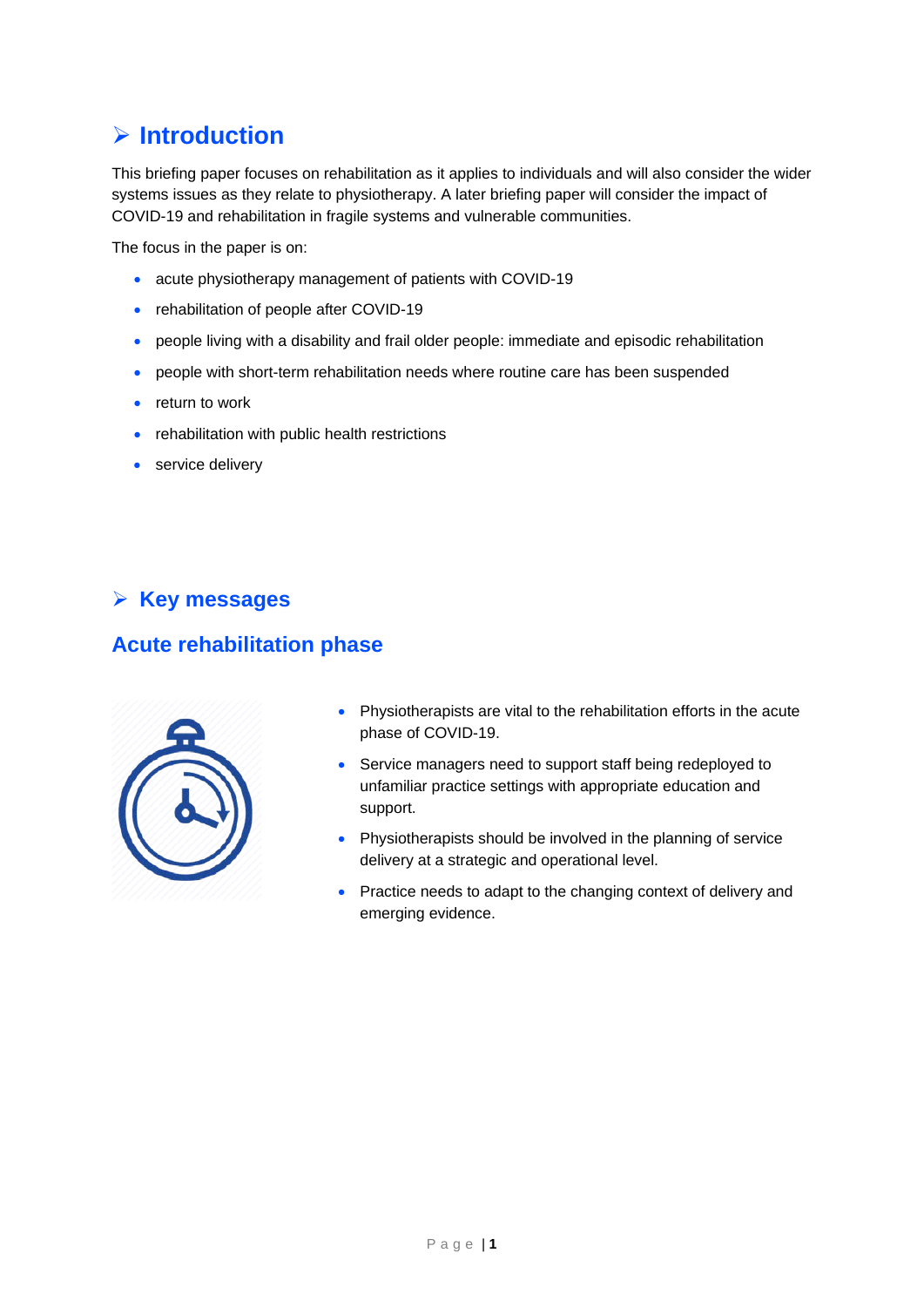## **Introduction**

This briefing paper focuses on rehabilitation as it applies to individuals and will also consider the wider systems issues as they relate to physiotherapy. A later briefing paper will consider the impact of COVID-19 and rehabilitation in fragile systems and vulnerable communities.

The focus in the paper is on:

- acute physiotherapy management of patients with COVID-19
- rehabilitation of people after COVID-19
- people living with a disability and frail older people: immediate and episodic rehabilitation
- people with short-term rehabilitation needs where routine care has been suspended
- return to work
- rehabilitation with public health restrictions
- service delivery

#### **Key messages**

#### **Acute rehabilitation phase**



- Physiotherapists are vital to the rehabilitation efforts in the acute phase of COVID-19.
- Service managers need to support staff being redeployed to unfamiliar practice settings with appropriate education and support.
- Physiotherapists should be involved in the planning of service delivery at a strategic and operational level.
- Practice needs to adapt to the changing context of delivery and emerging evidence.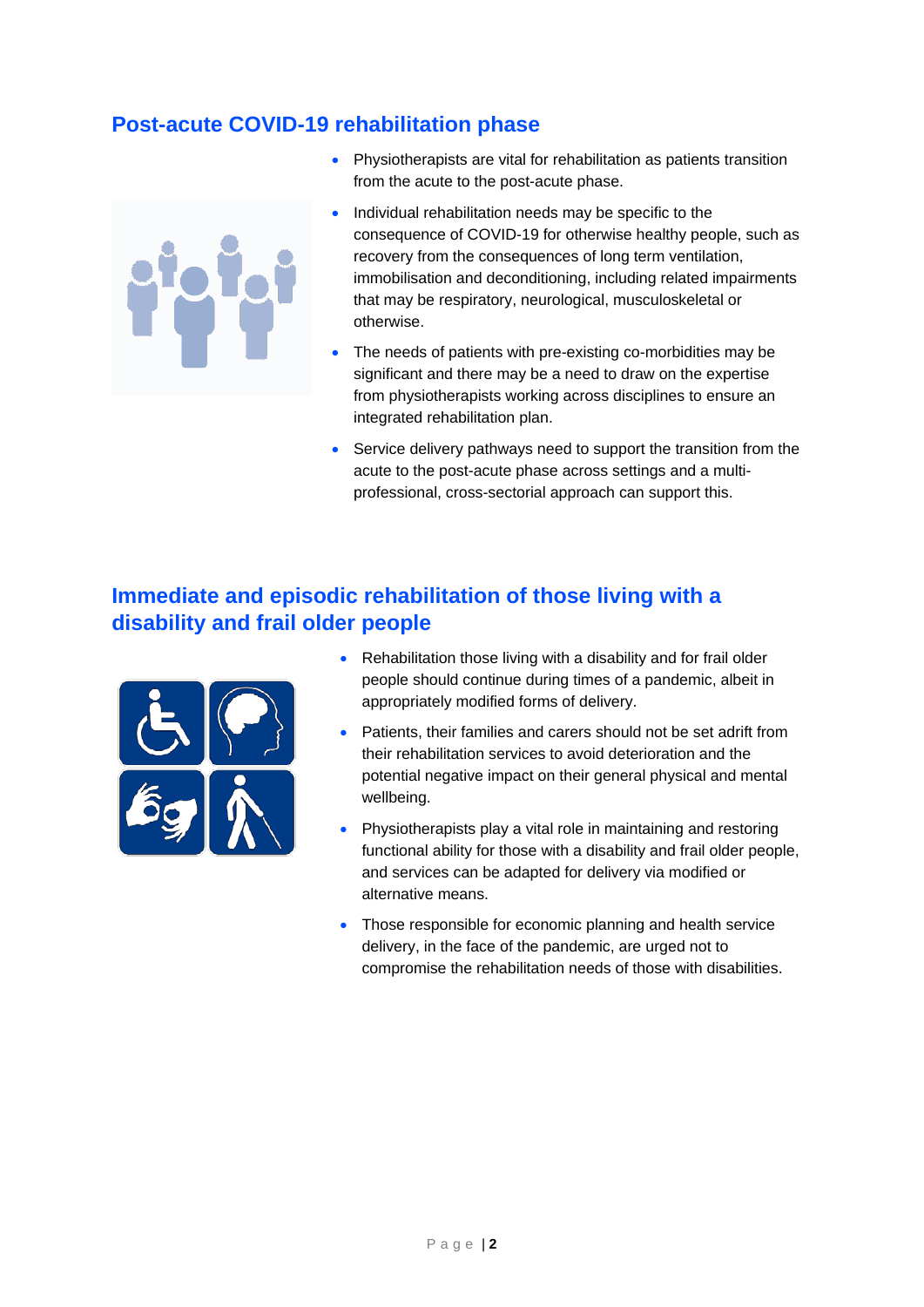#### **Post-acute COVID-19 rehabilitation phase**

- Physiotherapists are vital for rehabilitation as patients transition from the acute to the post-acute phase.
- Individual rehabilitation needs may be specific to the consequence of COVID-19 for otherwise healthy people, such as recovery from the consequences of long term ventilation, immobilisation and deconditioning, including related impairments that may be respiratory, neurological, musculoskeletal or otherwise.
- The needs of patients with pre-existing co-morbidities may be significant and there may be a need to draw on the expertise from physiotherapists working across disciplines to ensure an integrated rehabilitation plan.
- Service delivery pathways need to support the transition from the acute to the post-acute phase across settings and a multiprofessional, cross-sectorial approach can support this.

#### **Immediate and episodic rehabilitation of those living with a disability and frail older people**



- Rehabilitation those living with a disability and for frail older people should continue during times of a pandemic, albeit in appropriately modified forms of delivery.
- Patients, their families and carers should not be set adrift from their rehabilitation services to avoid deterioration and the potential negative impact on their general physical and mental wellbeing.
- Physiotherapists play a vital role in maintaining and restoring functional ability for those with a disability and frail older people, and services can be adapted for delivery via modified or alternative means.
- Those responsible for economic planning and health service delivery, in the face of the pandemic, are urged not to compromise the rehabilitation needs of those with disabilities.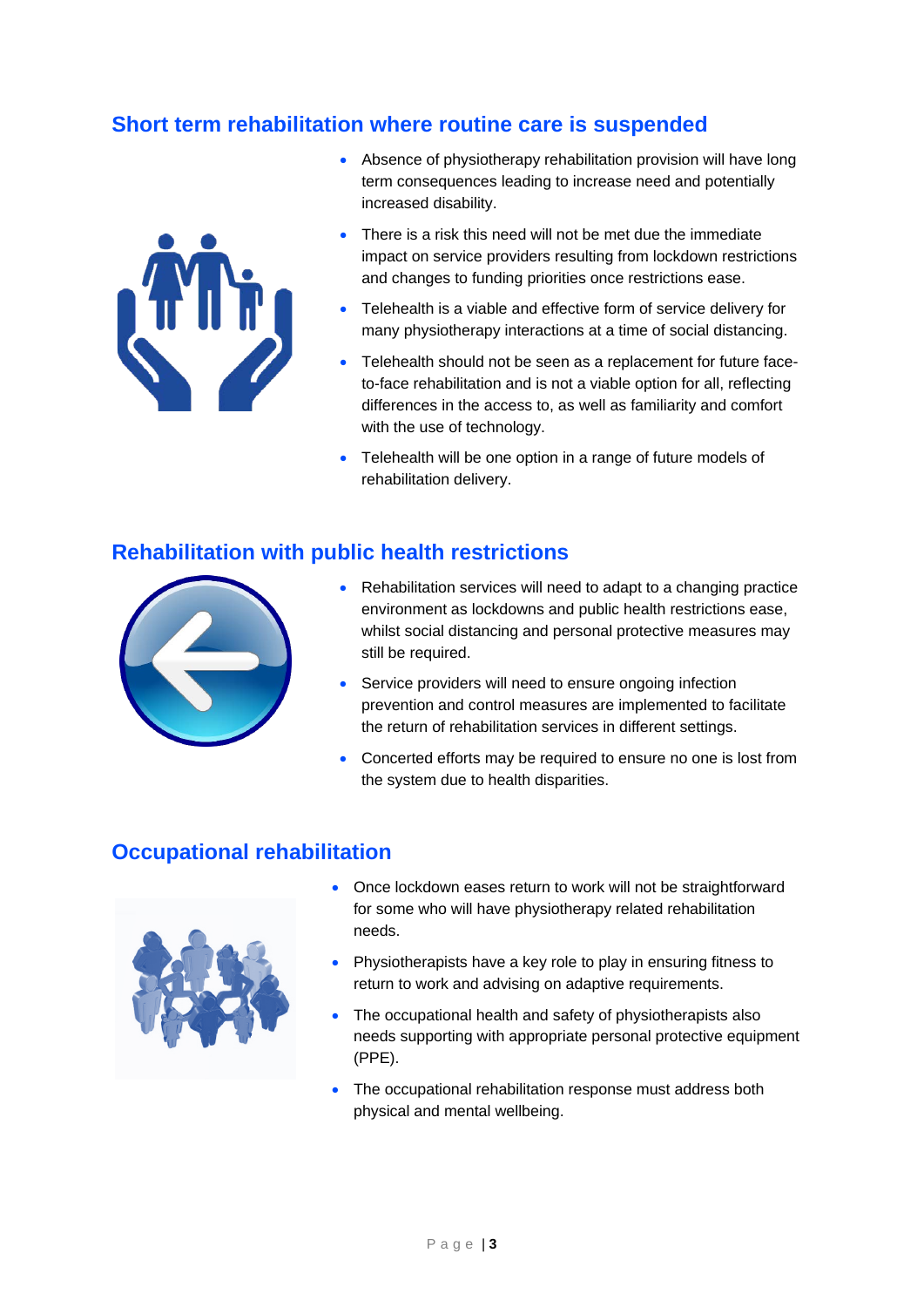#### **Short term rehabilitation where routine care is suspended**



- Absence of physiotherapy rehabilitation provision will have long term consequences leading to increase need and potentially increased disability.
- There is a risk this need will not be met due the immediate impact on service providers resulting from lockdown restrictions and changes to funding priorities once restrictions ease.
- Telehealth is a viable and effective form of service delivery for many physiotherapy interactions at a time of social distancing.
- Telehealth should not be seen as a replacement for future faceto-face rehabilitation and is not a viable option for all, reflecting differences in the access to, as well as familiarity and comfort with the use of technology.
- Telehealth will be one option in a range of future models of rehabilitation delivery.

#### **Rehabilitation with public health restrictions**



- Rehabilitation services will need to adapt to a changing practice environment as lockdowns and public health restrictions ease, whilst social distancing and personal protective measures may still be required.
- Service providers will need to ensure ongoing infection prevention and control measures are implemented to facilitate the return of rehabilitation services in different settings.
- Concerted efforts may be required to ensure no one is lost from the system due to health disparities.

#### **Occupational rehabilitation**



- Once lockdown eases return to work will not be straightforward for some who will have physiotherapy related rehabilitation needs.
- Physiotherapists have a key role to play in ensuring fitness to return to work and advising on adaptive requirements.
- The occupational health and safety of physiotherapists also needs supporting with appropriate personal protective equipment (PPE).
- The occupational rehabilitation response must address both physical and mental wellbeing.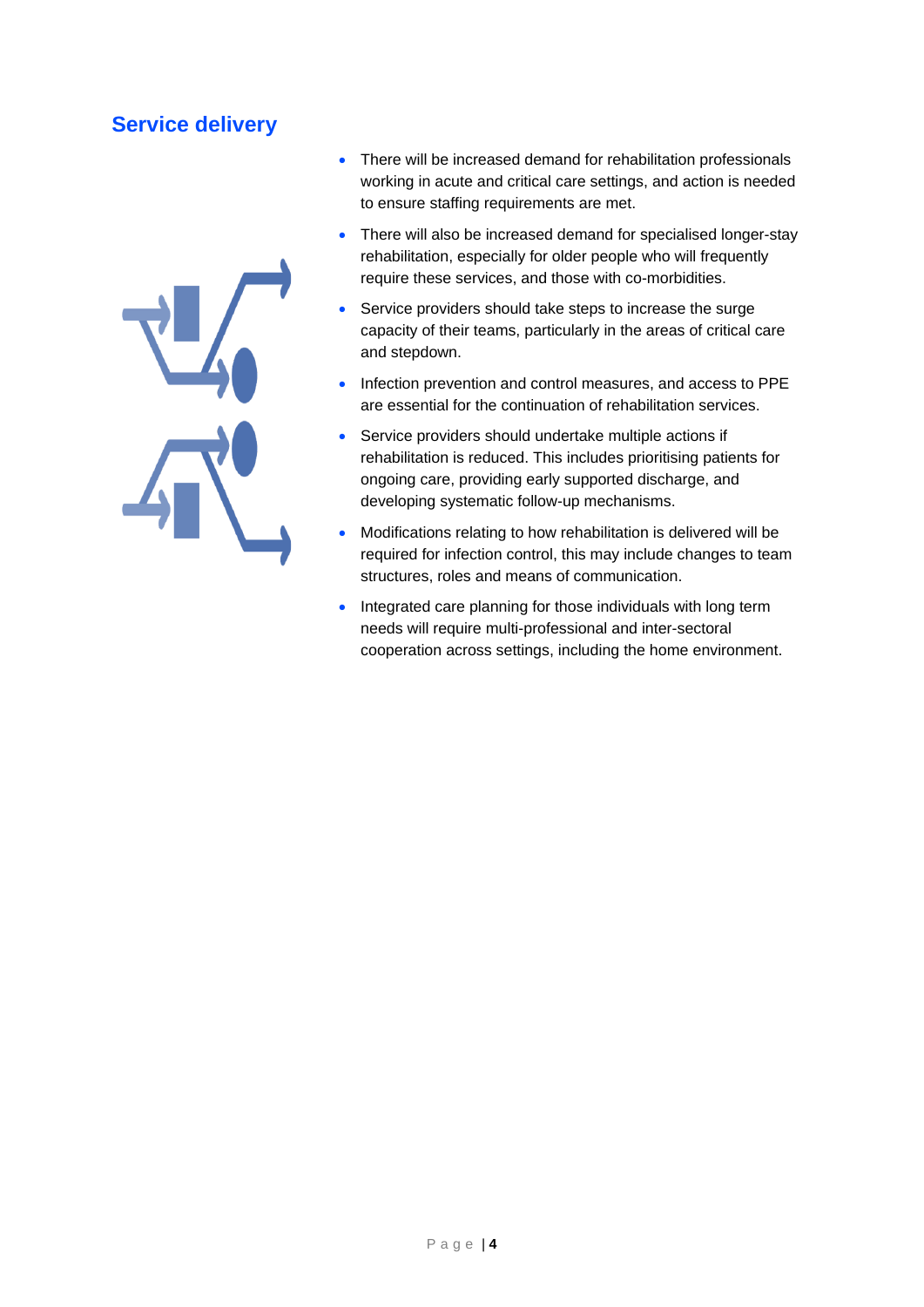#### **Service delivery**



- There will be increased demand for rehabilitation professionals working in acute and critical care settings, and action is needed to ensure staffing requirements are met.
- There will also be increased demand for specialised longer-stay rehabilitation, especially for older people who will frequently require these services, and those with co-morbidities.
- Service providers should take steps to increase the surge capacity of their teams, particularly in the areas of critical care and stepdown.
- Infection prevention and control measures, and access to PPE are essential for the continuation of rehabilitation services.
- Service providers should undertake multiple actions if rehabilitation is reduced. This includes prioritising patients for ongoing care, providing early supported discharge, and developing systematic follow-up mechanisms.
- Modifications relating to how rehabilitation is delivered will be required for infection control, this may include changes to team structures, roles and means of communication.
- Integrated care planning for those individuals with long term needs will require multi-professional and inter-sectoral cooperation across settings, including the home environment.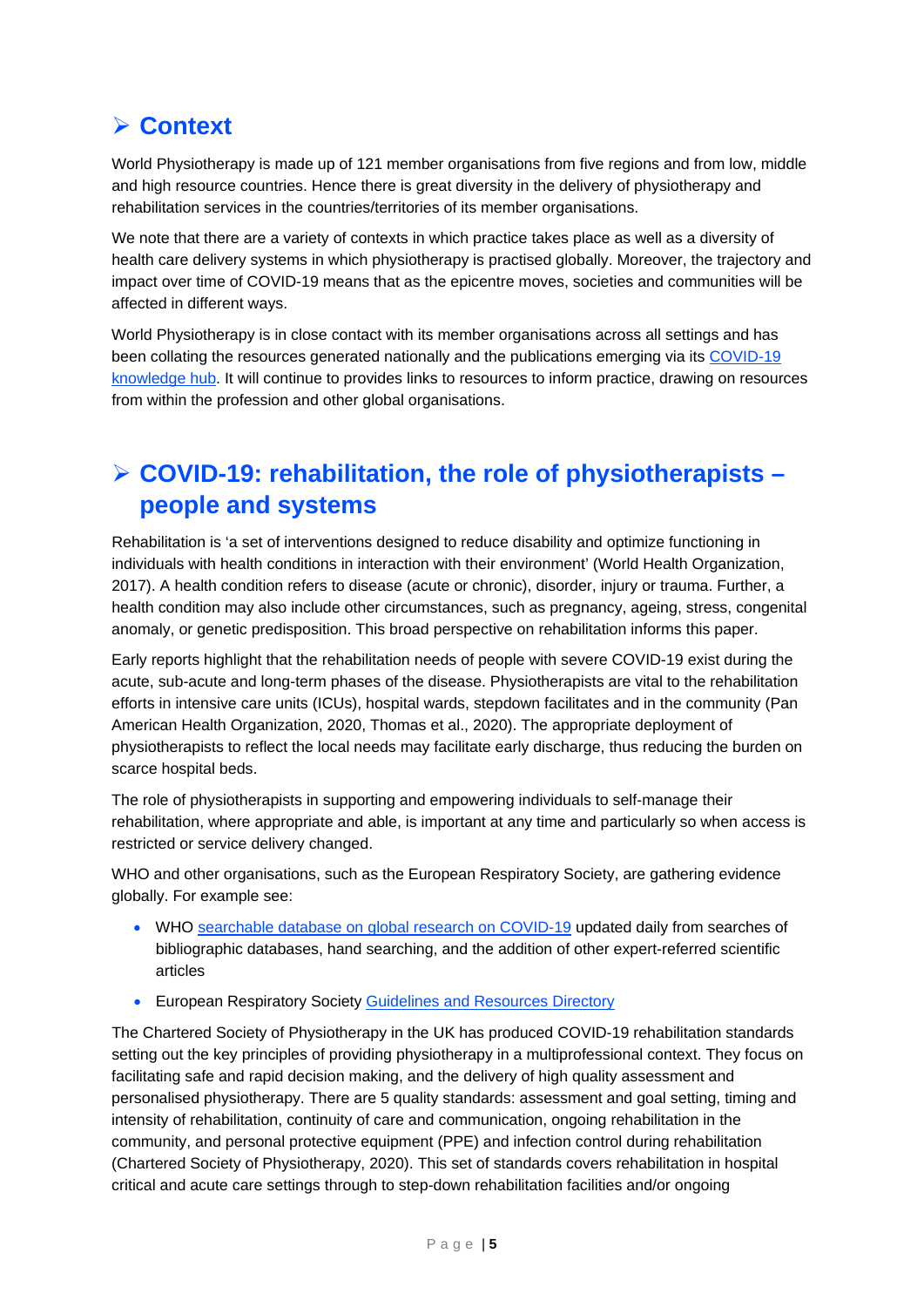### **Context**

World Physiotherapy is made up of 121 member organisations from five regions and from low, middle and high resource countries. Hence there is great diversity in the delivery of physiotherapy and rehabilitation services in the countries/territories of its member organisations.

We note that there are a variety of contexts in which practice takes place as well as a diversity of health care delivery systems in which physiotherapy is practised globally. Moreover, the trajectory and impact over time of COVID-19 means that as the epicentre moves, societies and communities will be affected in different ways.

World Physiotherapy is in close contact with its member organisations across all settings and has been collating the resources generated nationally and the publications emerging via its [COVID-19](https://world.physio/resources/covid-19-information-hub)  [knowledge hub.](https://world.physio/resources/covid-19-information-hub) It will continue to provides links to resources to inform practice, drawing on resources from within the profession and other global organisations.

### **COVID-19: rehabilitation, the role of physiotherapists – people and systems**

Rehabilitation is 'a set of interventions designed to reduce disability and optimize functioning in individuals with health conditions in interaction with their environment' (World Health Organization, 2017). A health condition refers to disease (acute or chronic), disorder, injury or trauma. Further, a health condition may also include other circumstances, such as pregnancy, ageing, stress, congenital anomaly, or genetic predisposition. This broad perspective on rehabilitation informs this paper.

Early reports highlight that the rehabilitation needs of people with severe COVID-19 exist during the acute, sub-acute and long-term phases of the disease. Physiotherapists are vital to the rehabilitation efforts in intensive care units (ICUs), hospital wards, stepdown facilitates and in the community (Pan American Health Organization, 2020, Thomas et al., 2020). The appropriate deployment of physiotherapists to reflect the local needs may facilitate early discharge, thus reducing the burden on scarce hospital beds.

The role of physiotherapists in supporting and empowering individuals to self-manage their rehabilitation, where appropriate and able, is important at any time and particularly so when access is restricted or service delivery changed.

WHO and other organisations, such as the European Respiratory Society, are gathering evidence globally. For example see:

- WHO [searchable database on global research on COVID-19](https://www.who.int/emergencies/diseases/novel-coronavirus-2019/global-research-on-novel-coronavirus-2019-ncov) updated daily from searches of bibliographic databases, hand searching, and the addition of other expert-referred scientific articles
- European Respiratory Society [Guidelines and Resources](https://www.ersnet.org/covid-19-guidelines-and-recommendations-directory) Directory

The Chartered Society of Physiotherapy in the UK has produced COVID-19 rehabilitation standards setting out the key principles of providing physiotherapy in a multiprofessional context. They focus on facilitating safe and rapid decision making, and the delivery of high quality assessment and personalised physiotherapy. There are 5 quality standards: assessment and goal setting, timing and intensity of rehabilitation, continuity of care and communication, ongoing rehabilitation in the community, and personal protective equipment (PPE) and infection control during rehabilitation (Chartered Society of Physiotherapy, 2020). This set of standards covers rehabilitation in hospital critical and acute care settings through to step-down rehabilitation facilities and/or ongoing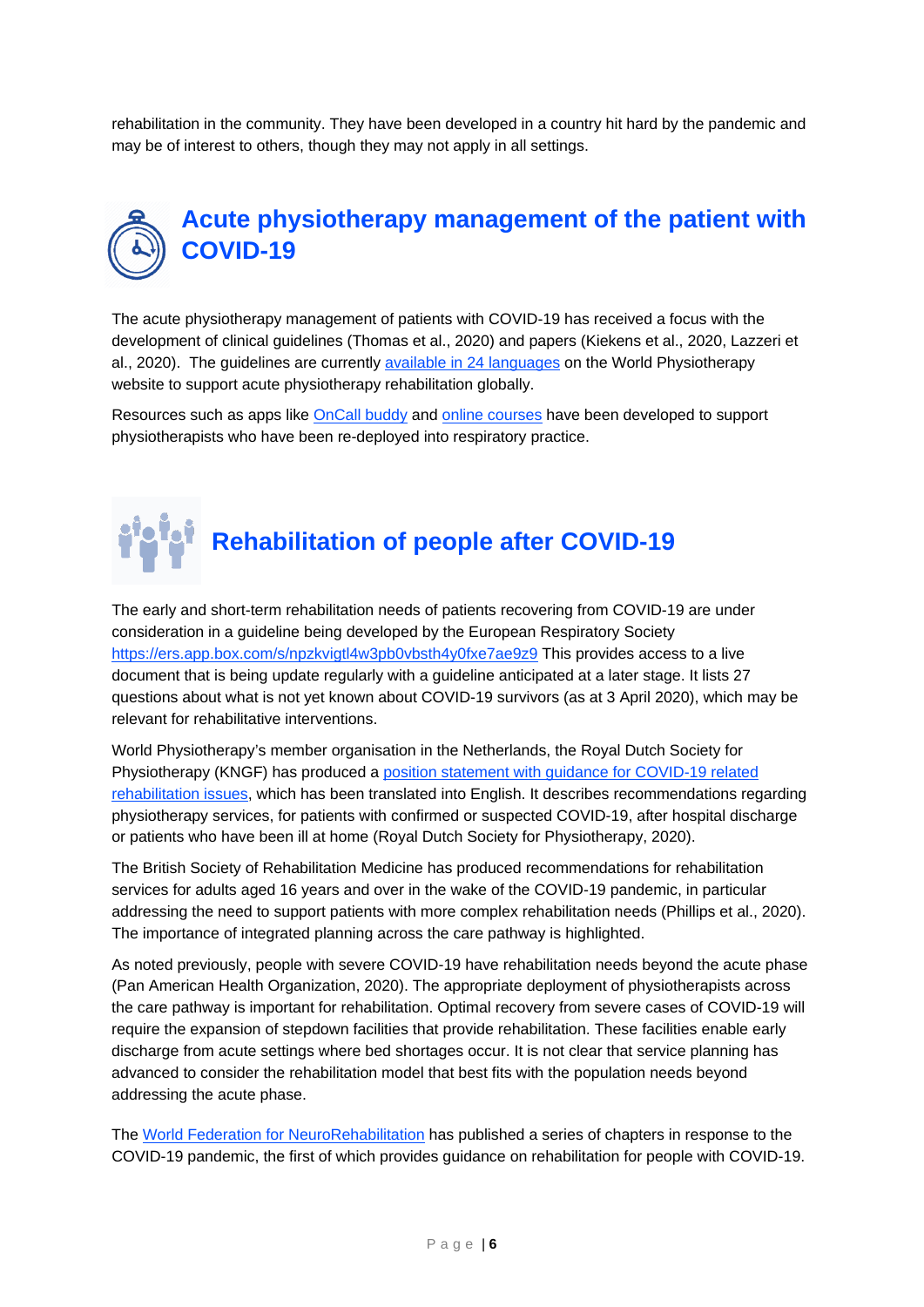rehabilitation in the community. They have been developed in a country hit hard by the pandemic and may be of interest to others, though they may not apply in all settings.

# **Acute physiotherapy management of the patient with COVID-19**

The acute physiotherapy management of patients with COVID-19 has received a focus with the development of clinical guidelines (Thomas et al., 2020) and papers (Kiekens et al., 2020, Lazzeri et al., 2020). The guidelines are currently [available in 24 languages](https://world.physio/covid-19-information-hub/covid-19-practice-based-resources) on the World Physiotherapy website to support acute physiotherapy rehabilitation globally.

Resources such as apps like [OnCall buddy](https://oncallbuddy.glideapp.io/) and [online courses](https://world.physio/covid-19-information-hub/covid-19-practice-based-resources) have been developed to support physiotherapists who have been re-deployed into respiratory practice.

# **Rehabilitation of people after COVID-19**

The early and short-term rehabilitation needs of patients recovering from COVID-19 are under consideration in a guideline being developed by the European Respiratory Society <https://ers.app.box.com/s/npzkvigtl4w3pb0vbsth4y0fxe7ae9z9> This provides access to a live document that is being update regularly with a guideline anticipated at a later stage. It lists 27 questions about what is not yet known about COVID-19 survivors (as at 3 April 2020), which may be relevant for rehabilitative interventions.

World Physiotherapy's member organisation in the Netherlands, the Royal Dutch Society for Physiotherapy (KNGF) has produced a [position statement with guidance for COVID-19 related](https://www.kngf.nl/binaries/content/assets/kennisplatform/onbeveiligd/guidelines/kngf-position-statement_v1.0-final.pdf)  [rehabilitation issues,](https://www.kngf.nl/binaries/content/assets/kennisplatform/onbeveiligd/guidelines/kngf-position-statement_v1.0-final.pdf) which has been translated into English. It describes recommendations regarding physiotherapy services, for patients with confirmed or suspected COVID-19, after hospital discharge or patients who have been ill at home (Royal Dutch Society for Physiotherapy, 2020).

The British Society of Rehabilitation Medicine has produced recommendations for rehabilitation services for adults aged 16 years and over in the wake of the COVID-19 pandemic, in particular addressing the need to support patients with more complex rehabilitation needs (Phillips et al., 2020). The importance of integrated planning across the care pathway is highlighted.

As noted previously, people with severe COVID-19 have rehabilitation needs beyond the acute phase (Pan American Health Organization, 2020). The appropriate deployment of physiotherapists across the care pathway is important for rehabilitation. Optimal recovery from severe cases of COVID-19 will require the expansion of stepdown facilities that provide rehabilitation. These facilities enable early discharge from acute settings where bed shortages occur. It is not clear that service planning has advanced to consider the rehabilitation model that best fits with the population needs beyond addressing the acute phase.

The [World Federation for NeuroRehabilitation](http://wfnr.co.uk/) has published a series of chapters in response to the COVID-19 pandemic, the first of which provides guidance on rehabilitation for people with COVID-19.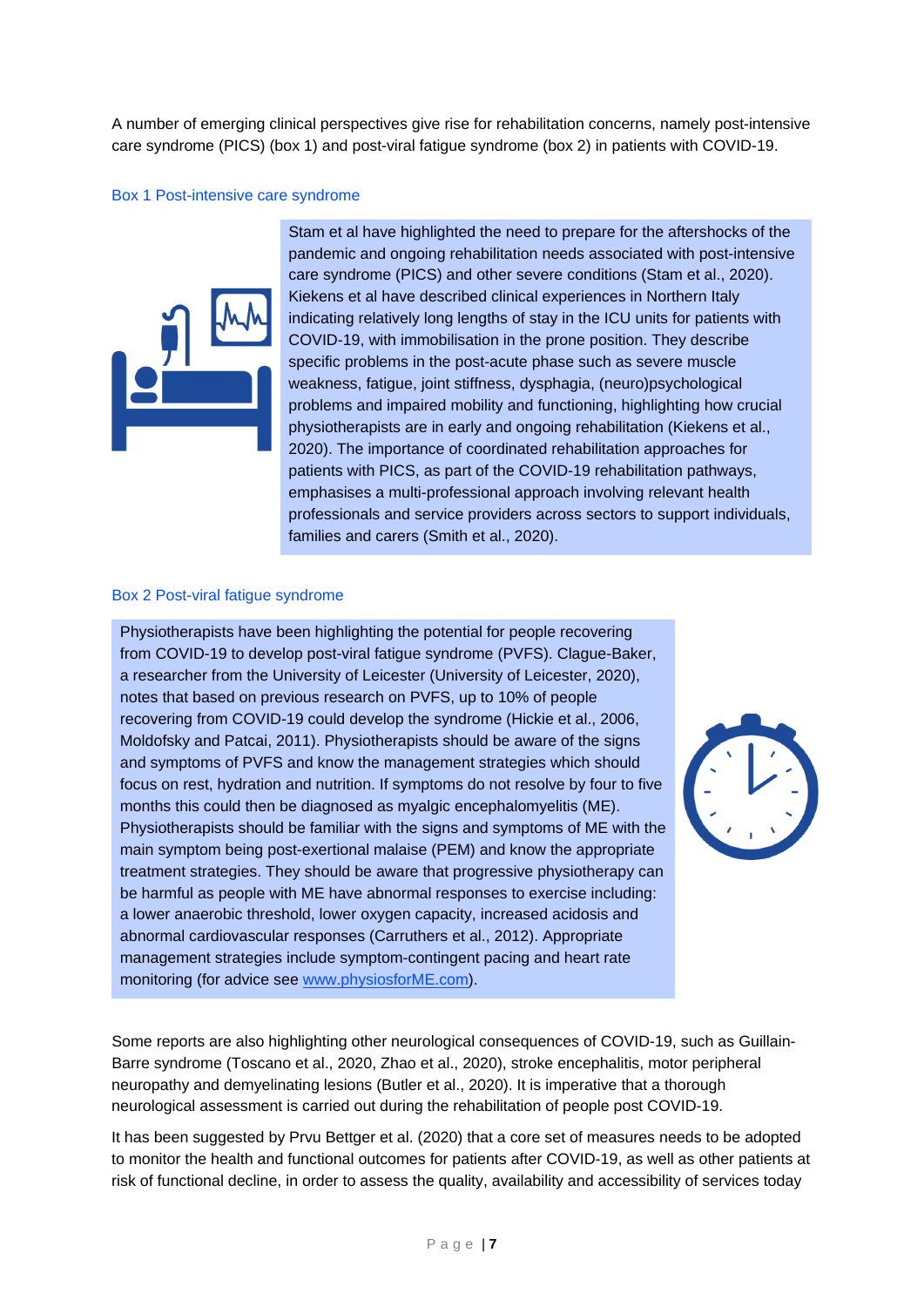A number of emerging clinical perspectives give rise for rehabilitation concerns, namely post-intensive care syndrome (PICS) (box 1) and post-viral fatigue syndrome (box 2) in patients with COVID-19.

#### Box 1 Post-intensive care syndrome



Stam et al have highlighted the need to prepare for the aftershocks of the pandemic and ongoing rehabilitation needs associated with post-intensive care syndrome (PICS) and other severe conditions (Stam et al., 2020). Kiekens et al have described clinical experiences in Northern Italy indicating relatively long lengths of stay in the ICU units for patients with COVID-19, with immobilisation in the prone position. They describe specific problems in the post-acute phase such as severe muscle weakness, fatigue, joint stiffness, dysphagia, (neuro)psychological problems and impaired mobility and functioning, highlighting how crucial physiotherapists are in early and ongoing rehabilitation (Kiekens et al., 2020). The importance of coordinated rehabilitation approaches for patients with PICS, as part of the COVID-19 rehabilitation pathways, emphasises a multi-professional approach involving relevant health professionals and service providers across sectors to support individuals, families and carers (Smith et al., 2020).

#### Box 2 Post-viral fatigue syndrome

Physiotherapists have been highlighting the potential for people recovering from COVID-19 to develop post-viral fatigue syndrome (PVFS). Clague-Baker, a researcher from the University of Leicester (University of Leicester, 2020), notes that based on previous research on PVFS, up to 10% of people recovering from COVID-19 could develop the syndrome (Hickie et al., 2006, Moldofsky and Patcai, 2011). Physiotherapists should be aware of the signs and symptoms of PVFS and know the management strategies which should focus on rest, hydration and nutrition. If symptoms do not resolve by four to five months this could then be diagnosed as myalgic encephalomyelitis (ME). Physiotherapists should be familiar with the signs and symptoms of ME with the main symptom being post-exertional malaise (PEM) and know the appropriate treatment strategies. They should be aware that progressive physiotherapy can be harmful as people with ME have abnormal responses to exercise including: a lower anaerobic threshold, lower oxygen capacity, increased acidosis and abnormal cardiovascular responses (Carruthers et al., 2012). Appropriate management strategies include symptom-contingent pacing and heart rate monitoring (for advice see [www.physiosforME.com\)](http://www.physiosforme.com/).



Some reports are also highlighting other neurological consequences of COVID-19, such as Guillain-Barre syndrome (Toscano et al., 2020, Zhao et al., 2020), stroke encephalitis, motor peripheral neuropathy and demyelinating lesions (Butler et al., 2020). It is imperative that a thorough neurological assessment is carried out during the rehabilitation of people post COVID-19.

It has been suggested by Prvu Bettger et al. (2020) that a core set of measures needs to be adopted to monitor the health and functional outcomes for patients after COVID-19, as well as other patients at risk of functional decline, in order to assess the quality, availability and accessibility of services today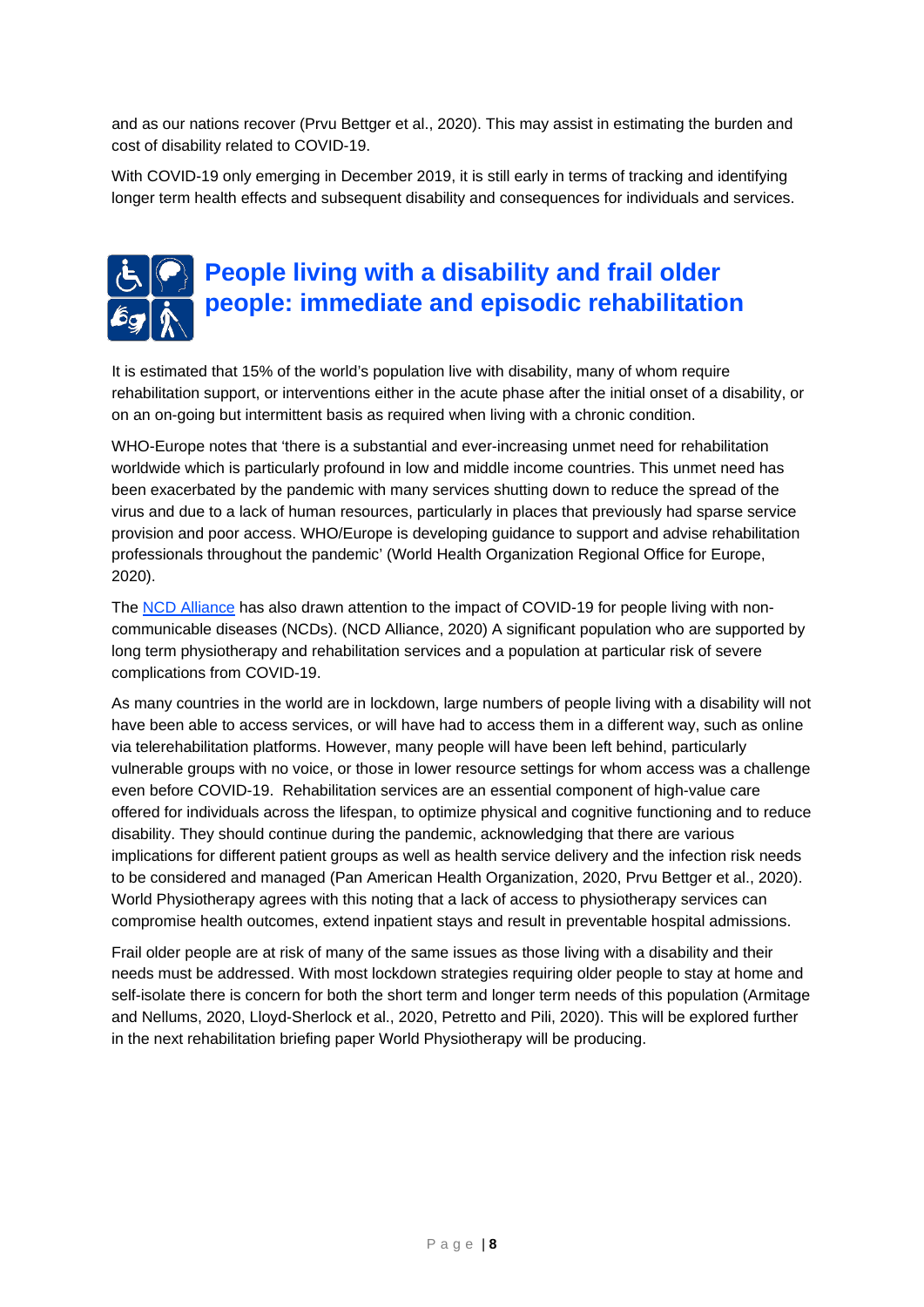and as our nations recover (Prvu Bettger et al., 2020). This may assist in estimating the burden and cost of disability related to COVID-19.

With COVID-19 only emerging in December 2019, it is still early in terms of tracking and identifying longer term health effects and subsequent disability and consequences for individuals and services.

# **People living with a disability and frail older people: immediate and episodic rehabilitation**

It is estimated that 15% of the world's population live with disability, many of whom require rehabilitation support, or interventions either in the acute phase after the initial onset of a disability, or on an on-going but intermittent basis as required when living with a chronic condition.

WHO-Europe notes that 'there is a substantial and ever-increasing unmet need for rehabilitation worldwide which is particularly profound in low and middle income countries. This unmet need has been exacerbated by the pandemic with many services shutting down to reduce the spread of the virus and due to a lack of human resources, particularly in places that previously had sparse service provision and poor access. WHO/Europe is developing guidance to support and advise rehabilitation professionals throughout the pandemic' (World Health Organization Regional Office for Europe, 2020).

The [NCD Alliance](https://ncdalliance.org/) has also drawn attention to the impact of COVID-19 for people living with noncommunicable diseases (NCDs). (NCD Alliance, 2020) A significant population who are supported by long term physiotherapy and rehabilitation services and a population at particular risk of severe complications from COVID-19.

As many countries in the world are in lockdown, large numbers of people living with a disability will not have been able to access services, or will have had to access them in a different way, such as online via telerehabilitation platforms. However, many people will have been left behind, particularly vulnerable groups with no voice, or those in lower resource settings for whom access was a challenge even before COVID-19. Rehabilitation services are an essential component of high-value care offered for individuals across the lifespan, to optimize physical and cognitive functioning and to reduce disability. They should continue during the pandemic, acknowledging that there are various implications for different patient groups as well as health service delivery and the infection risk needs to be considered and managed (Pan American Health Organization, 2020, Prvu Bettger et al., 2020). World Physiotherapy agrees with this noting that a lack of access to physiotherapy services can compromise health outcomes, extend inpatient stays and result in preventable hospital admissions.

Frail older people are at risk of many of the same issues as those living with a disability and their needs must be addressed. With most lockdown strategies requiring older people to stay at home and self-isolate there is concern for both the short term and longer term needs of this population (Armitage and Nellums, 2020, Lloyd-Sherlock et al., 2020, Petretto and Pili, 2020). This will be explored further in the next rehabilitation briefing paper World Physiotherapy will be producing.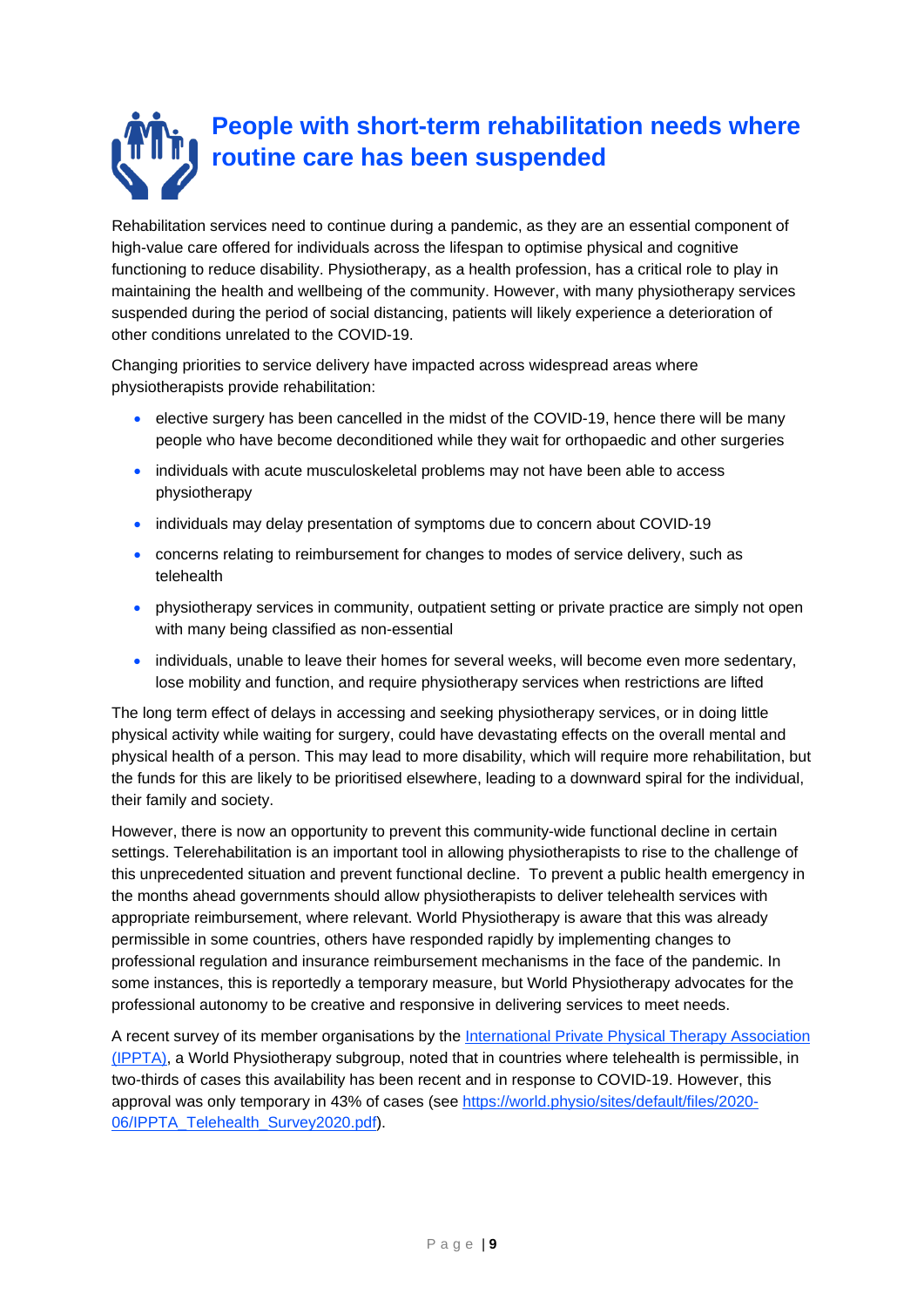# **People with short-term rehabilitation needs where routine care has been suspended**

Rehabilitation services need to continue during a pandemic, as they are an essential component of high-value care offered for individuals across the lifespan to optimise physical and cognitive functioning to reduce disability. Physiotherapy, as a health profession, has a critical role to play in maintaining the health and wellbeing of the community. However, with many physiotherapy services suspended during the period of social distancing, patients will likely experience a deterioration of other conditions unrelated to the COVID-19.

Changing priorities to service delivery have impacted across widespread areas where physiotherapists provide rehabilitation:

- elective surgery has been cancelled in the midst of the COVID-19, hence there will be many people who have become deconditioned while they wait for orthopaedic and other surgeries
- individuals with acute musculoskeletal problems may not have been able to access physiotherapy
- individuals may delay presentation of symptoms due to concern about COVID-19
- concerns relating to reimbursement for changes to modes of service delivery, such as telehealth
- physiotherapy services in community, outpatient setting or private practice are simply not open with many being classified as non-essential
- individuals, unable to leave their homes for several weeks, will become even more sedentary, lose mobility and function, and require physiotherapy services when restrictions are lifted

The long term effect of delays in accessing and seeking physiotherapy services, or in doing little physical activity while waiting for surgery, could have devastating effects on the overall mental and physical health of a person. This may lead to more disability, which will require more rehabilitation, but the funds for this are likely to be prioritised elsewhere, leading to a downward spiral for the individual, their family and society.

However, there is now an opportunity to prevent this community-wide functional decline in certain settings. Telerehabilitation is an important tool in allowing physiotherapists to rise to the challenge of this unprecedented situation and prevent functional decline. To prevent a public health emergency in the months ahead governments should allow physiotherapists to deliver telehealth services with appropriate reimbursement, where relevant. World Physiotherapy is aware that this was already permissible in some countries, others have responded rapidly by implementing changes to professional regulation and insurance reimbursement mechanisms in the face of the pandemic. In some instances, this is reportedly a temporary measure, but World Physiotherapy advocates for the professional autonomy to be creative and responsive in delivering services to meet needs.

A recent survey of its member organisations by the [International Private Physical Therapy Association](https://world.physio/subgroups/private) [\(IPPTA\),](https://world.physio/subgroups/private) a World Physiotherapy subgroup, noted that in countries where telehealth is permissible, in two-thirds of cases this availability has been recent and in response to COVID-19. However, this approval was only temporary in 43% of cases (see [https://world.physio/sites/default/files/2020-](https://world.physio/sites/default/files/2020-06/IPPTA_Telehealth_Survey2020.pdf) [06/IPPTA\\_Telehealth\\_Survey2020.pdf\)](https://world.physio/sites/default/files/2020-06/IPPTA_Telehealth_Survey2020.pdf).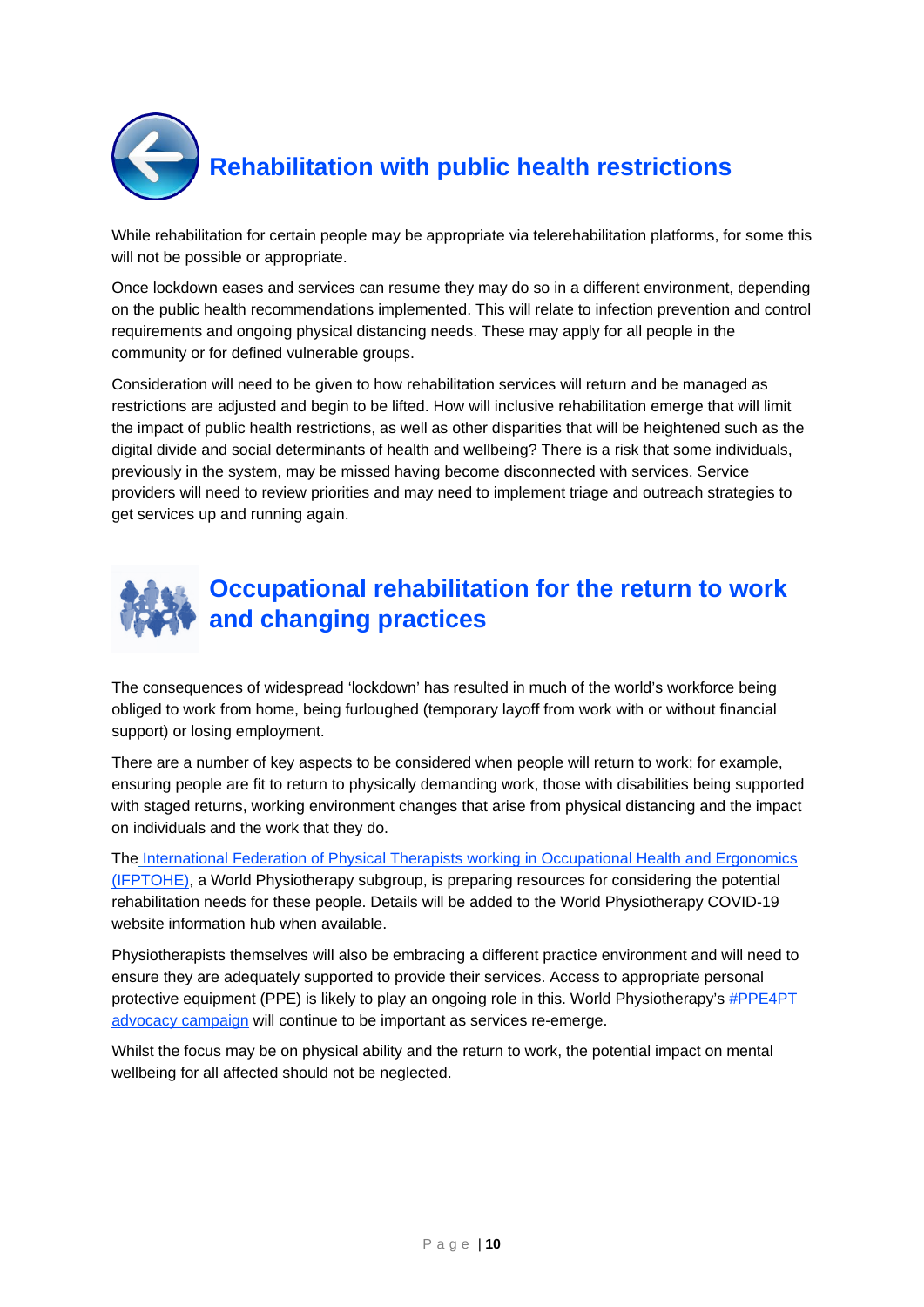

While rehabilitation for certain people may be appropriate via telerehabilitation platforms, for some this will not be possible or appropriate.

Once lockdown eases and services can resume they may do so in a different environment, depending on the public health recommendations implemented. This will relate to infection prevention and control requirements and ongoing physical distancing needs. These may apply for all people in the community or for defined vulnerable groups.

Consideration will need to be given to how rehabilitation services will return and be managed as restrictions are adjusted and begin to be lifted. How will inclusive rehabilitation emerge that will limit the impact of public health restrictions, as well as other disparities that will be heightened such as the digital divide and social determinants of health and wellbeing? There is a risk that some individuals, previously in the system, may be missed having become disconnected with services. Service providers will need to review priorities and may need to implement triage and outreach strategies to get services up and running again.



The consequences of widespread 'lockdown' has resulted in much of the world's workforce being obliged to work from home, being furloughed (temporary layoff from work with or without financial support) or losing employment.

There are a number of key aspects to be considered when people will return to work; for example, ensuring people are fit to return to physically demanding work, those with disabilities being supported with staged returns, working environment changes that arise from physical distancing and the impact on individuals and the work that they do.

The [International Federation of Physical Therapists working in Occupational Health and Ergonomics](https://world.physio/subgroups/occupational-health-ergonomics)  [\(IFPTOHE\),](https://world.physio/subgroups/occupational-health-ergonomics) a World Physiotherapy subgroup, is preparing resources for considering the potential rehabilitation needs for these people. Details will be added to the World Physiotherapy COVID-19 website information hub when available.

Physiotherapists themselves will also be embracing a different practice environment and will need to ensure they are adequately supported to provide their services. Access to appropriate personal protective equipment (PPE) is likely to play an ongoing role in this. World Physiotherapy's [#PPE4PT](https://world.physio/covid-19-information-hub/ppe4pt-advocacy-campaign)  [advocacy campaign](https://world.physio/covid-19-information-hub/ppe4pt-advocacy-campaign) will continue to be important as services re-emerge.

Whilst the focus may be on physical ability and the return to work, the potential impact on mental wellbeing for all affected should not be neglected.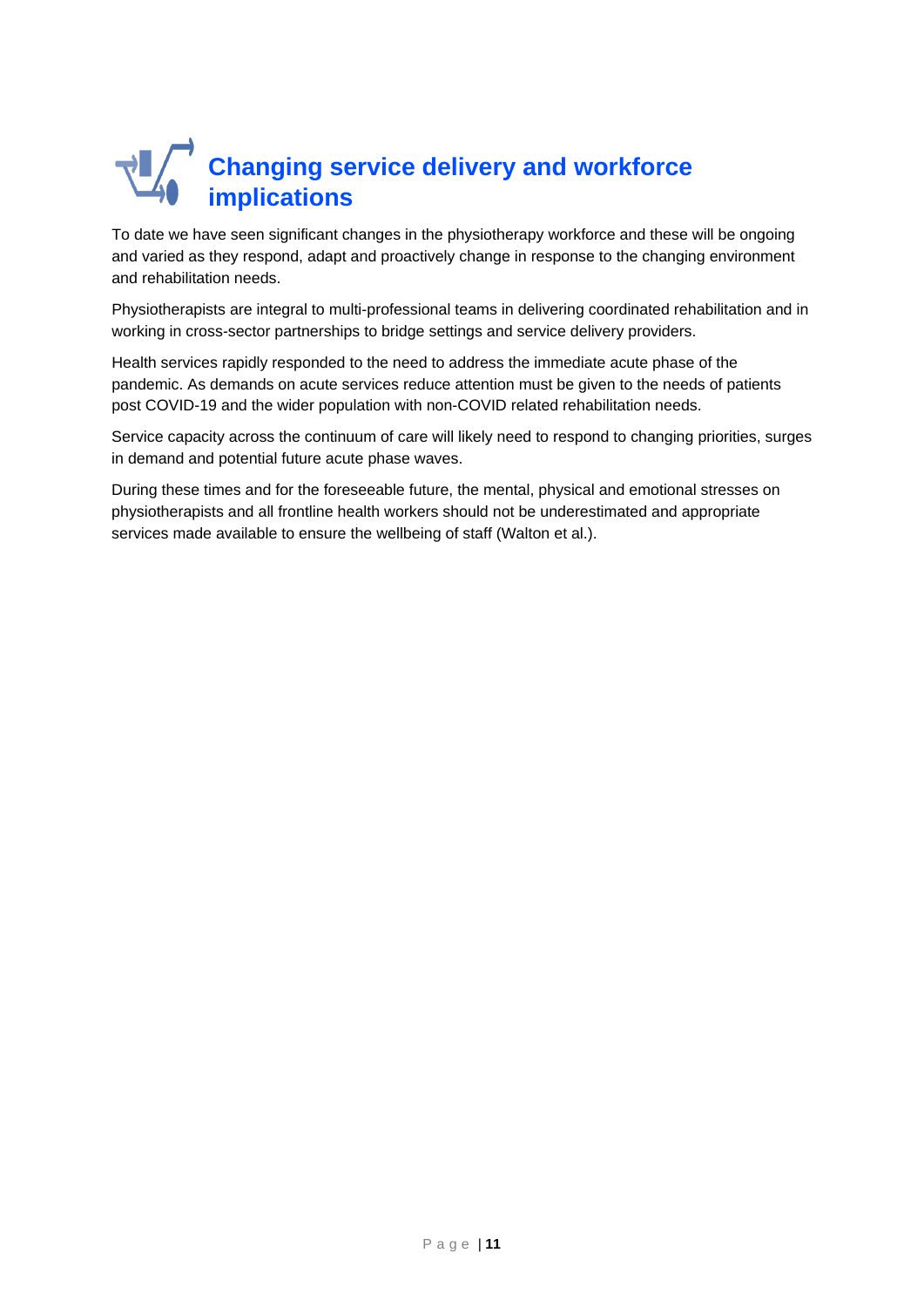# **Changing service delivery and workforce implications**

To date we have seen significant changes in the physiotherapy workforce and these will be ongoing and varied as they respond, adapt and proactively change in response to the changing environment and rehabilitation needs.

Physiotherapists are integral to multi-professional teams in delivering coordinated rehabilitation and in working in cross-sector partnerships to bridge settings and service delivery providers.

Health services rapidly responded to the need to address the immediate acute phase of the pandemic. As demands on acute services reduce attention must be given to the needs of patients post COVID-19 and the wider population with non-COVID related rehabilitation needs.

Service capacity across the continuum of care will likely need to respond to changing priorities, surges in demand and potential future acute phase waves.

During these times and for the foreseeable future, the mental, physical and emotional stresses on physiotherapists and all frontline health workers should not be underestimated and appropriate services made available to ensure the wellbeing of staff (Walton et al.).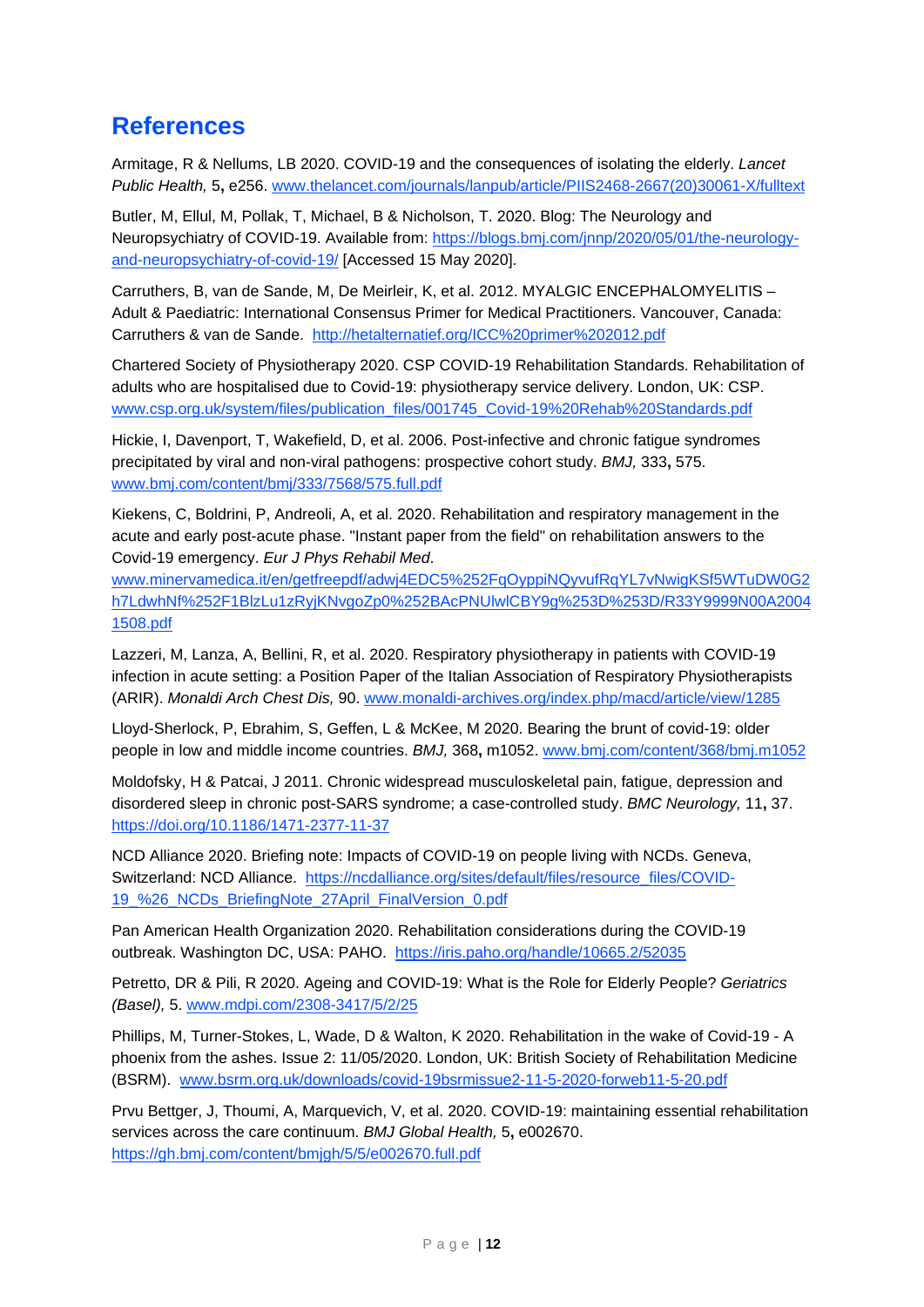#### **References**

Armitage, R & Nellums, LB 2020. COVID-19 and the consequences of isolating the elderly. *Lancet Public Health,* 5**,** e256. [www.thelancet.com/journals/lanpub/article/PIIS2468-2667\(20\)30061-X/fulltext](https://www.thelancet.com/journals/lanpub/article/PIIS2468-2667(20)30061-X/fulltext)

Butler, M, Ellul, M, Pollak, T, Michael, B & Nicholson, T. 2020. Blog: The Neurology and Neuropsychiatry of COVID-19. Available from[: https://blogs.bmj.com/jnnp/2020/05/01/the-neurology](https://blogs.bmj.com/jnnp/2020/05/01/the-neurology-and-neuropsychiatry-of-covid-19/)[and-neuropsychiatry-of-covid-19/](https://blogs.bmj.com/jnnp/2020/05/01/the-neurology-and-neuropsychiatry-of-covid-19/) [Accessed 15 May 2020].

Carruthers, B, van de Sande, M, De Meirleir, K, et al. 2012. MYALGIC ENCEPHALOMYELITIS – Adult & Paediatric: International Consensus Primer for Medical Practitioners. Vancouver, Canada: Carruthers & van de Sande. <http://hetalternatief.org/ICC%20primer%202012.pdf>

Chartered Society of Physiotherapy 2020. CSP COVID-19 Rehabilitation Standards. Rehabilitation of adults who are hospitalised due to Covid-19: physiotherapy service delivery. London, UK: CSP. [www.csp.org.uk/system/files/publication\\_files/001745\\_Covid-19%20Rehab%20Standards.pdf](https://www.csp.org.uk/system/files/publication_files/001745_Covid-19%20Rehab%20Standards.pdf)

Hickie, I, Davenport, T, Wakefield, D, et al. 2006. Post-infective and chronic fatigue syndromes precipitated by viral and non-viral pathogens: prospective cohort study. *BMJ,* 333**,** 575. [www.bmj.com/content/bmj/333/7568/575.full.pdf](https://www.bmj.com/content/bmj/333/7568/575.full.pdf)

Kiekens, C, Boldrini, P, Andreoli, A, et al. 2020. Rehabilitation and respiratory management in the acute and early post-acute phase. "Instant paper from the field" on rehabilitation answers to the Covid-19 emergency. *Eur J Phys Rehabil Med*.

[www.minervamedica.it/en/getfreepdf/adwj4EDC5%252FqOyppiNQyvufRqYL7vNwigKSf5WTuDW0G2](https://www.minervamedica.it/en/getfreepdf/adwj4EDC5%252FqOyppiNQyvufRqYL7vNwigKSf5WTuDW0G2h7LdwhNf%252F1BlzLu1zRyjKNvgoZp0%252BAcPNUlwlCBY9g%253D%253D/R33Y9999N00A20041508.pdf) [h7LdwhNf%252F1BlzLu1zRyjKNvgoZp0%252BAcPNUlwlCBY9g%253D%253D/R33Y9999N00A2004](https://www.minervamedica.it/en/getfreepdf/adwj4EDC5%252FqOyppiNQyvufRqYL7vNwigKSf5WTuDW0G2h7LdwhNf%252F1BlzLu1zRyjKNvgoZp0%252BAcPNUlwlCBY9g%253D%253D/R33Y9999N00A20041508.pdf) [1508.pdf](https://www.minervamedica.it/en/getfreepdf/adwj4EDC5%252FqOyppiNQyvufRqYL7vNwigKSf5WTuDW0G2h7LdwhNf%252F1BlzLu1zRyjKNvgoZp0%252BAcPNUlwlCBY9g%253D%253D/R33Y9999N00A20041508.pdf)

Lazzeri, M, Lanza, A, Bellini, R, et al. 2020. Respiratory physiotherapy in patients with COVID-19 infection in acute setting: a Position Paper of the Italian Association of Respiratory Physiotherapists (ARIR). *Monaldi Arch Chest Dis,* 90. [www.monaldi-archives.org/index.php/macd/article/view/1285](https://www.monaldi-archives.org/index.php/macd/article/view/1285)

Lloyd-Sherlock, P, Ebrahim, S, Geffen, L & McKee, M 2020. Bearing the brunt of covid-19: older people in low and middle income countries. *BMJ,* 368**,** m1052. [www.bmj.com/content/368/bmj.m1052](https://www.bmj.com/content/368/bmj.m1052)

Moldofsky, H & Patcai, J 2011. Chronic widespread musculoskeletal pain, fatigue, depression and disordered sleep in chronic post-SARS syndrome; a case-controlled study. *BMC Neurology,* 11**,** 37. <https://doi.org/10.1186/1471-2377-11-37>

NCD Alliance 2020. Briefing note: Impacts of COVID-19 on people living with NCDs. Geneva, Switzerland: NCD Alliance. [https://ncdalliance.org/sites/default/files/resource\\_files/COVID-](https://ncdalliance.org/sites/default/files/resource_files/COVID-19_%26_NCDs_BriefingNote_27April_FinalVersion_0.pdf)[19\\_%26\\_NCDs\\_BriefingNote\\_27April\\_FinalVersion\\_0.pdf](https://ncdalliance.org/sites/default/files/resource_files/COVID-19_%26_NCDs_BriefingNote_27April_FinalVersion_0.pdf)

Pan American Health Organization 2020. Rehabilitation considerations during the COVID-19 outbreak. Washington DC, USA: PAHO. <https://iris.paho.org/handle/10665.2/52035>

Petretto, DR & Pili, R 2020. Ageing and COVID-19: What is the Role for Elderly People? *Geriatrics (Basel),* 5. [www.mdpi.com/2308-3417/5/2/25](https://www.mdpi.com/2308-3417/5/2/25)

Phillips, M, Turner-Stokes, L, Wade, D & Walton, K 2020. Rehabilitation in the wake of Covid-19 - A phoenix from the ashes. Issue 2: 11/05/2020. London, UK: British Society of Rehabilitation Medicine (BSRM). [www.bsrm.org.uk/downloads/covid-19bsrmissue2-11-5-2020-forweb11-5-20.pdf](https://www.bsrm.org.uk/downloads/covid-19bsrmissue2-11-5-2020-forweb11-5-20.pdf)

Prvu Bettger, J, Thoumi, A, Marquevich, V, et al. 2020. COVID-19: maintaining essential rehabilitation services across the care continuum. *BMJ Global Health,* 5**,** e002670. <https://gh.bmj.com/content/bmjgh/5/5/e002670.full.pdf>